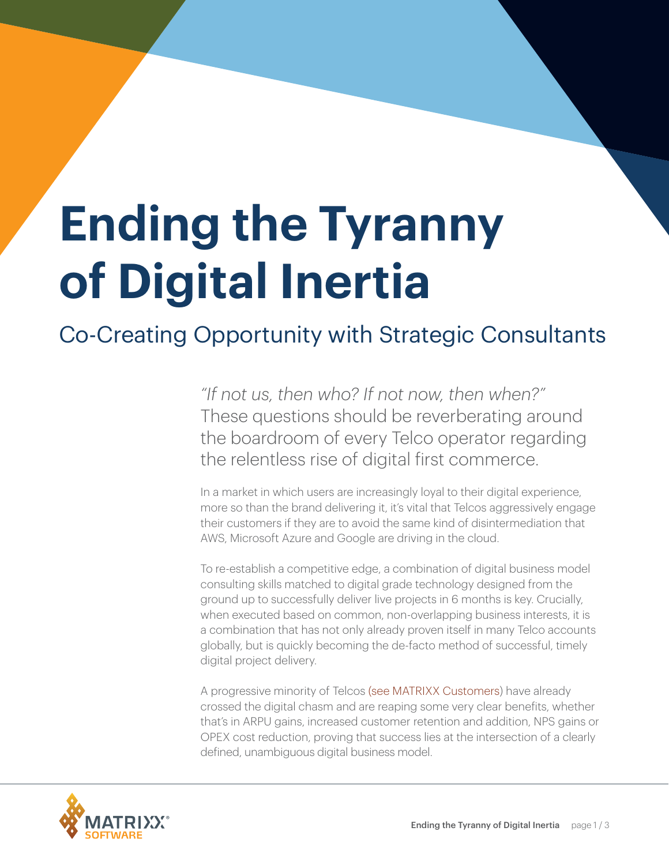## **Ending the Tyranny of Digital Inertia**

## Co-Creating Opportunity with Strategic Consultants

*"If not us, then who? If not now, then when?"* These questions should be reverberating around the boardroom of every Telco operator regarding the relentless rise of digital first commerce.

In a market in which users are increasingly loyal to their digital experience, more so than the brand delivering it, it's vital that Telcos aggressively engage their customers if they are to avoid the same kind of disintermediation that AWS, Microsoft Azure and Google are driving in the cloud.

To re-establish a competitive edge, a combination of digital business model consulting skills matched to digital grade technology designed from the ground up to successfully deliver live projects in 6 months is key. Crucially, when executed based on common, non-overlapping business interests, it is a combination that has not only already proven itself in many Telco accounts globally, but is quickly becoming the de-facto method of successful, timely digital project delivery.

A progressive minority of Telcos ([see MATRIXX Customers](http://www.matrixx.com/customers/)) have already crossed the digital chasm and are reaping some very clear benefits, whether that's in ARPU gains, increased customer retention and addition, NPS gains or OPEX cost reduction, proving that success lies at the intersection of a clearly defined, unambiguous digital business model.

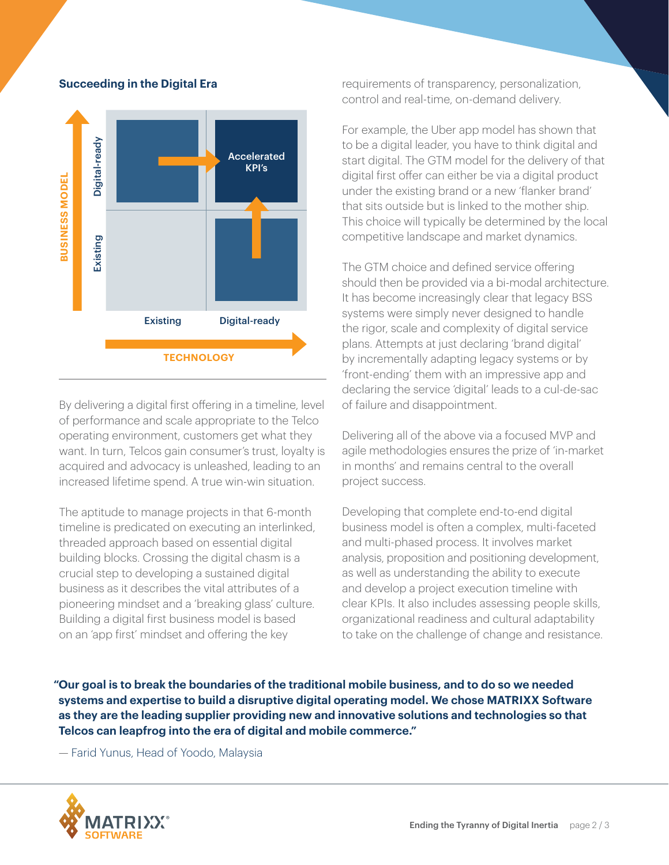

## **Succeeding in the Digital Era**

By delivering a digital first offering in a timeline, level of performance and scale appropriate to the Telco operating environment, customers get what they want. In turn, Telcos gain consumer's trust, loyalty is acquired and advocacy is unleashed, leading to an increased lifetime spend. A true win-win situation.

The aptitude to manage projects in that 6-month timeline is predicated on executing an interlinked, threaded approach based on essential digital building blocks. Crossing the digital chasm is a crucial step to developing a sustained digital business as it describes the vital attributes of a pioneering mindset and a 'breaking glass' culture. Building a digital first business model is based on an 'app first' mindset and offering the key

requirements of transparency, personalization, control and real-time, on-demand delivery.

For example, the Uber app model has shown that to be a digital leader, you have to think digital and start digital. The GTM model for the delivery of that digital first offer can either be via a digital product under the existing brand or a new 'flanker brand' that sits outside but is linked to the mother ship. This choice will typically be determined by the local competitive landscape and market dynamics.

The GTM choice and defined service offering should then be provided via a bi-modal architecture. It has become increasingly clear that legacy BSS systems were simply never designed to handle the rigor, scale and complexity of digital service plans. Attempts at just declaring 'brand digital' by incrementally adapting legacy systems or by 'front-ending' them with an impressive app and declaring the service 'digital' leads to a cul-de-sac of failure and disappointment.

Delivering all of the above via a focused MVP and agile methodologies ensures the prize of 'in-market in months' and remains central to the overall project success.

Developing that complete end-to-end digital business model is often a complex, multi-faceted and multi-phased process. It involves market analysis, proposition and positioning development, as well as understanding the ability to execute and develop a project execution timeline with clear KPIs. It also includes assessing people skills, organizational readiness and cultural adaptability to take on the challenge of change and resistance.

**"Our goal is to break the boundaries of the traditional mobile business, and to do so we needed systems and expertise to build a disruptive digital operating model. We chose MATRIXX Software as they are the leading supplier providing new and innovative solutions and technologies so that Telcos can leapfrog into the era of digital and mobile commerce."**

— Farid Yunus, Head of Yoodo, Malaysia